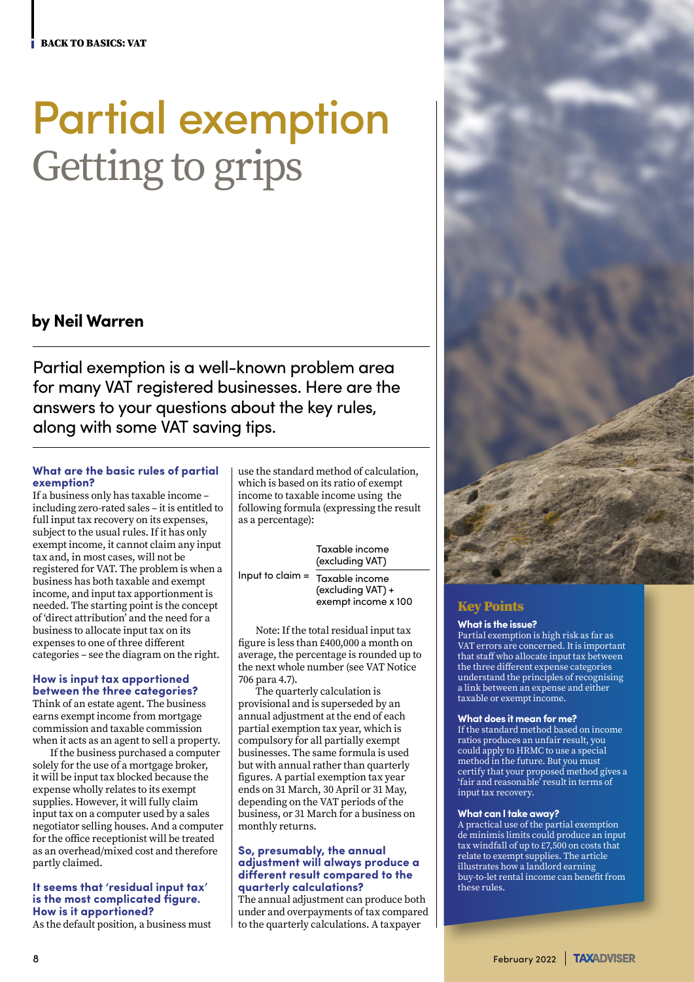# Partial exemption Getting to grips

## **by Neil Warren**

Partial exemption is a well-known problem area for many VAT registered businesses. Here are the answers to your questions about the key rules, along with some VAT saving tips.

#### **What are the basic rules of partial exemption?**

If a business only has taxable income – including zero-rated sales – it is entitled to full input tax recovery on its expenses, subject to the usual rules. If it has only exempt income, it cannot claim any input tax and, in most cases, will not be registered for VAT. The problem is when a business has both taxable and exempt income, and input tax apportionment is needed. The starting point is the concept of 'direct attribution' and the need for a business to allocate input tax on its expenses to one of three different categories – see the diagram on the right.

## **How is input tax apportioned**

**between the three categories?** Think of an estate agent. The business earns exempt income from mortgage commission and taxable commission when it acts as an agent to sell a property.

If the business purchased a computer solely for the use of a mortgage broker, it will be input tax blocked because the expense wholly relates to its exempt supplies. However, it will fully claim input tax on a computer used by a sales negotiator selling houses. And a computer for the office receptionist will be treated as an overhead/mixed cost and therefore partly claimed.

#### **It seems that 'residual input tax' is the most complicated figure. How is it apportioned?**

As the default position, a business must

use the standard method of calculation, which is based on its ratio of exempt income to taxable income using the following formula (expressing the result as a percentage):

#### Taxable income (excluding VAT)

Input to claim = Taxable income (excluding VAT) + exempt income x 100

Note: If the total residual input tax figure is less than £400,000 a month on average, the percentage is rounded up to the next whole number (see VAT Notice 706 para 4.7).

The quarterly calculation is provisional and is superseded by an annual adjustment at the end of each partial exemption tax year, which is compulsory for all partially exempt businesses. The same formula is used but with annual rather than quarterly figures. A partial exemption tax year ends on 31 March, 30 April or 31 May, depending on the VAT periods of the business, or 31 March for a business on monthly returns.

#### **So, presumably, the annual adjustment will always produce a different result compared to the quarterly calculations?**

The annual adjustment can produce both under and overpayments of tax compared to the quarterly calculations. A taxpayer



## Key Points

#### **What is the issue?**

Partial exemption is high risk as far as VAT errors are concerned. It is important that staff who allocate input tax between the three different expense categories understand the principles of recognising a link between an expense and either taxable or exempt income.

#### **What does it mean for me?**

If the standard method based on income ratios produces an unfair result, you could apply to HRMC to use a special method in the future. But you must certify that your proposed method gives a 'fair and reasonable' result in terms of input tax recovery.

#### **What can I take away?**

A practical use of the partial exemption de minimis limits could produce an input tax windfall of up to £7,500 on costs that relate to exempt supplies. The article illustrates how a landlord earning buy-to-let rental income can benefit from these rules.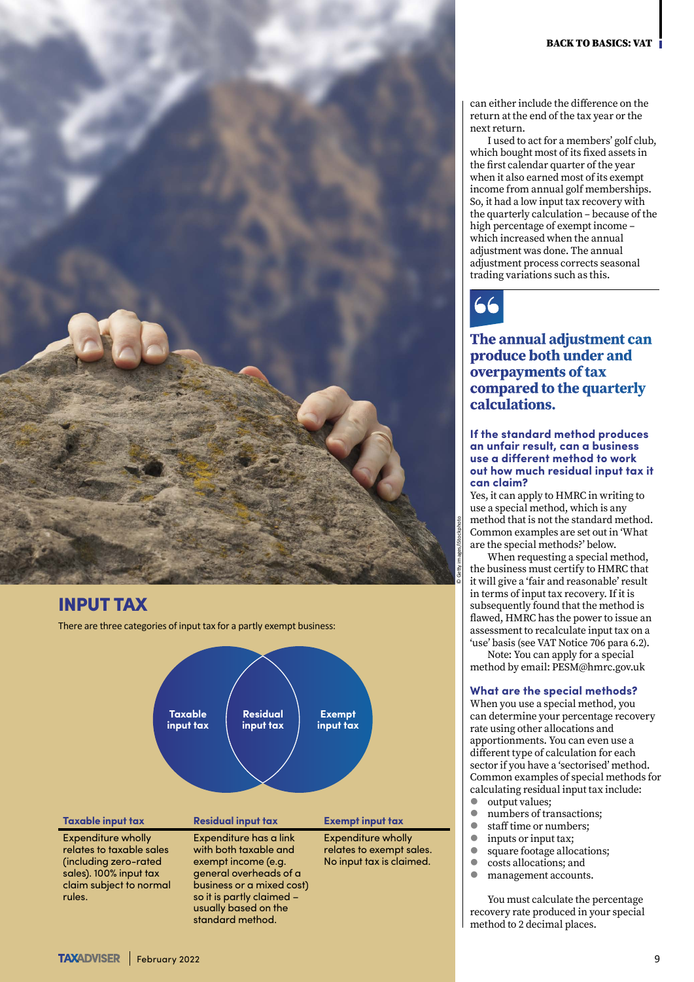

## INPUT TAX

There are three categories of input tax for a partly exempt business:



can either include the difference on the return at the end of the tax year or the next return.

I used to act for a members' golf club, which bought most of its fixed assets in the first calendar quarter of the year when it also earned most of its exempt income from annual golf memberships. So, it had a low input tax recovery with the quarterly calculation – because of the high percentage of exempt income – which increased when the annual adjustment was done. The annual adjustment process corrects seasonal trading variations such as this.



**The annual adjustment can produce both under and overpayments of tax compared to the quarterly calculations.**

**If the standard method produces an unfair result, can a business use a different method to work out how much residual input tax it can claim?**

Yes, it can apply to HMRC in writing to use a special method, which is any method that is not the standard method. Common examples are set out in 'What are the special methods?' below.

When requesting a special method, the business must certify to HMRC that it will give a 'fair and reasonable' result in terms of input tax recovery. If it is subsequently found that the method is flawed, HMRC has the power to issue an assessment to recalculate input tax on a 'use' basis (see VAT Notice 706 para 6.2).

Note: You can apply for a special method by email: [PESM@hmrc.gov.uk](mailto:PESM@hmrc.gov.uk)

#### **What are the special methods?**

When you use a special method, you can determine your percentage recovery rate using other allocations and apportionments. You can even use a different type of calculation for each sector if you have a 'sectorised' method. Common examples of special methods for calculating residual input tax include:

- $\bullet$  output values;
- $\bullet \quad \text{numbers of transactions;} \\ \bullet \quad \text{staff time or numbers:} \\$
- staff time or numbers;
- $\bullet \quad \text{inputs or input tax;} \\ \bullet \quad \text{source folcase} \\ \bullet \quad \text{source} \\ \bullet \quad \text{source} \\ \bullet \quad \text{source} \\ \bullet \quad \text{source} \\ \bullet \quad \text{source} \\ \bullet \quad \text{source} \\ \bullet \quad \text{source} \\ \bullet \quad \text{source} \\ \bullet \quad \text{source} \\ \bullet \quad \text{source} \\ \bullet \quad \text{source} \\ \bullet \quad \text{source} \\ \bullet \quad \text{source} \\ \bullet \quad \text{source} \\ \bullet \quad \text{source} \\ \bullet \quad \text{source} \\ \bullet \quad \text{source} \\ \bullet \quad \text{source} \\ \bullet \quad \text{source} \\ \bullet \quad \$
- square footage allocations;
- $\bullet$  costs allocations; and
- management accounts.

You must calculate the percentage recovery rate produced in your special method to 2 decimal places.